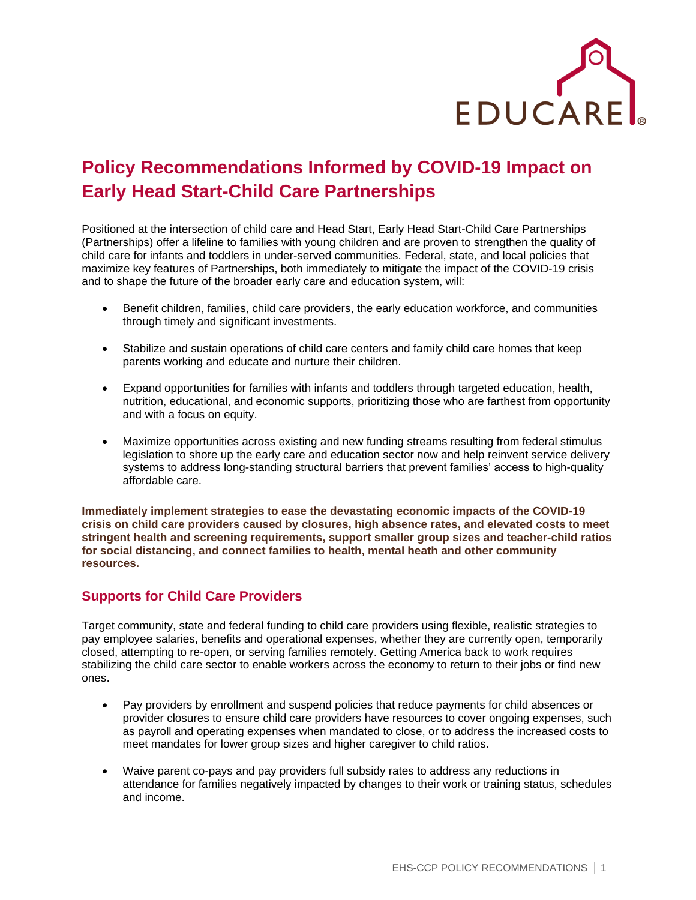

# **Policy Recommendations Informed by COVID-19 Impact on Early Head Start-Child Care Partnerships**

Positioned at the intersection of child care and Head Start, Early Head Start-Child Care Partnerships (Partnerships) offer a lifeline to families with young children and are proven to strengthen the quality of child care for infants and toddlers in under-served communities. Federal, state, and local policies that maximize key features of Partnerships, both immediately to mitigate the impact of the COVID-19 crisis and to shape the future of the broader early care and education system, will:

- Benefit children, families, child care providers, the early education workforce, and communities through timely and significant investments.
- Stabilize and sustain operations of child care centers and family child care homes that keep parents working and educate and nurture their children.
- Expand opportunities for families with infants and toddlers through targeted education, health, nutrition, educational, and economic supports, prioritizing those who are farthest from opportunity and with a focus on equity.
- Maximize opportunities across existing and new funding streams resulting from federal stimulus legislation to shore up the early care and education sector now and help reinvent service delivery systems to address long-standing structural barriers that prevent families' access to high-quality affordable care.

**Immediately implement strategies to ease the devastating economic impacts of the COVID-19 crisis on child care providers caused by closures, high absence rates, and elevated costs to meet stringent health and screening requirements, support smaller group sizes and teacher-child ratios for social distancing, and connect families to health, mental heath and other community resources.**

### **Supports for Child Care Providers**

Target community, state and federal funding to child care providers using flexible, realistic strategies to pay employee salaries, benefits and operational expenses, whether they are currently open, temporarily closed, attempting to re-open, or serving families remotely. Getting America back to work requires stabilizing the child care sector to enable workers across the economy to return to their jobs or find new ones.

- Pay providers by enrollment and suspend policies that reduce payments for child absences or provider closures to ensure child care providers have resources to cover ongoing expenses, such as payroll and operating expenses when mandated to close, or to address the increased costs to meet mandates for lower group sizes and higher caregiver to child ratios.
- Waive parent co-pays and pay providers full subsidy rates to address any reductions in attendance for families negatively impacted by changes to their work or training status, schedules and income.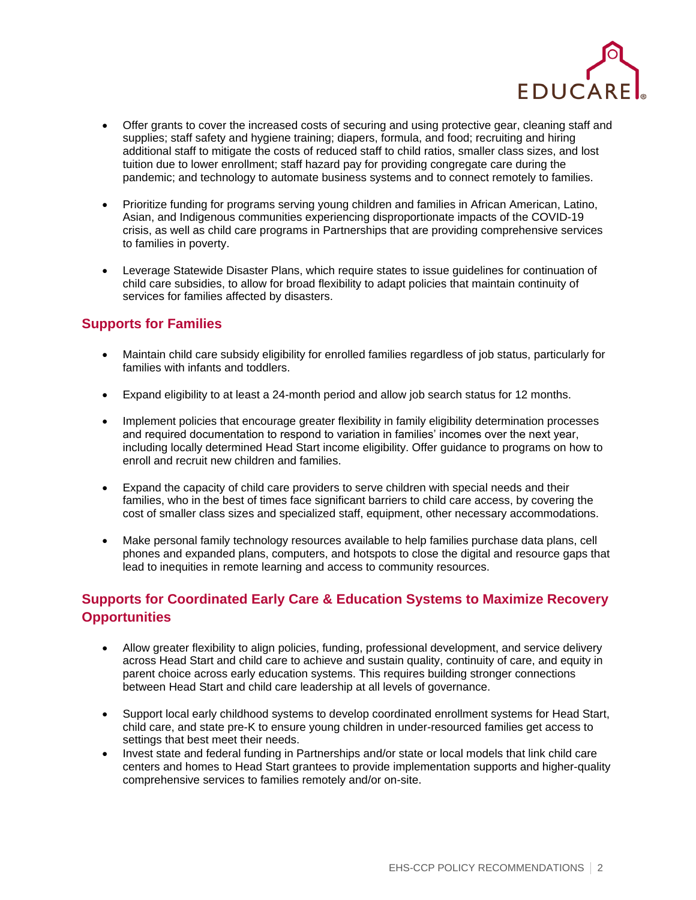

- Offer grants to cover the increased costs of securing and using protective gear, cleaning staff and supplies; staff safety and hygiene training; diapers, formula, and food; recruiting and hiring additional staff to mitigate the costs of reduced staff to child ratios, smaller class sizes, and lost tuition due to lower enrollment; staff hazard pay for providing congregate care during the pandemic; and technology to automate business systems and to connect remotely to families.
- Prioritize funding for programs serving young children and families in African American, Latino, Asian, and Indigenous communities experiencing disproportionate impacts of the COVID-19 crisis, as well as child care programs in Partnerships that are providing comprehensive services to families in poverty.
- Leverage Statewide Disaster Plans, which require states to issue guidelines for continuation of child care subsidies, to allow for broad flexibility to adapt policies that maintain continuity of services for families affected by disasters.

### **Supports for Families**

- Maintain child care subsidy eligibility for enrolled families regardless of job status, particularly for families with infants and toddlers.
- Expand eligibility to at least a 24-month period and allow job search status for 12 months.
- Implement policies that encourage greater flexibility in family eligibility determination processes and required documentation to respond to variation in families' incomes over the next year, including locally determined Head Start income eligibility. Offer guidance to programs on how to enroll and recruit new children and families.
- Expand the capacity of child care providers to serve children with special needs and their families, who in the best of times face significant barriers to child care access, by covering the cost of smaller class sizes and specialized staff, equipment, other necessary accommodations.
- Make personal family technology resources available to help families purchase data plans, cell phones and expanded plans, computers, and hotspots to close the digital and resource gaps that lead to inequities in remote learning and access to community resources.

## **Supports for Coordinated Early Care & Education Systems to Maximize Recovery Opportunities**

- Allow greater flexibility to align policies, funding, professional development, and service delivery across Head Start and child care to achieve and sustain quality, continuity of care, and equity in parent choice across early education systems. This requires building stronger connections between Head Start and child care leadership at all levels of governance.
- Support local early childhood systems to develop coordinated enrollment systems for Head Start, child care, and state pre-K to ensure young children in under-resourced families get access to settings that best meet their needs.
- Invest state and federal funding in Partnerships and/or state or local models that link child care centers and homes to Head Start grantees to provide implementation supports and higher-quality comprehensive services to families remotely and/or on-site.